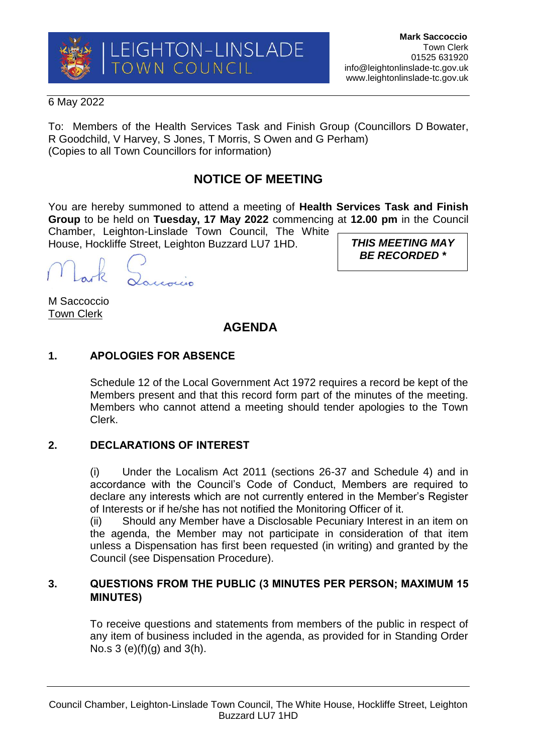

### 6 May 2022

To: Members of the Health Services Task and Finish Group (Councillors D Bowater, R Goodchild, V Harvey, S Jones, T Morris, S Owen and G Perham) (Copies to all Town Councillors for information)

# **NOTICE OF MEETING**

You are hereby summoned to attend a meeting of **Health Services Task and Finish Group** to be held on **Tuesday, 17 May 2022** commencing at **12.00 pm** in the Council Chamber, Leighton-Linslade Town Council, The White

House, Hockliffe Street, Leighton Buzzard LU7 1HD.

M Saccoccio Town Clerk

*THIS MEETING MAY BE RECORDED \**

## **AGENDA**

## **1. APOLOGIES FOR ABSENCE**

Schedule 12 of the Local Government Act 1972 requires a record be kept of the Members present and that this record form part of the minutes of the meeting. Members who cannot attend a meeting should tender apologies to the Town Clerk.

## **2. DECLARATIONS OF INTEREST**

(i) Under the Localism Act 2011 (sections 26-37 and Schedule 4) and in accordance with the Council's Code of Conduct, Members are required to declare any interests which are not currently entered in the Member's Register of Interests or if he/she has not notified the Monitoring Officer of it.

(ii) Should any Member have a Disclosable Pecuniary Interest in an item on the agenda, the Member may not participate in consideration of that item unless a Dispensation has first been requested (in writing) and granted by the Council (see Dispensation Procedure).

## **3. QUESTIONS FROM THE PUBLIC (3 MINUTES PER PERSON; MAXIMUM 15 MINUTES)**

To receive questions and statements from members of the public in respect of any item of business included in the agenda, as provided for in Standing Order No.s  $3 (e)(f)(g)$  and  $3(h)$ .